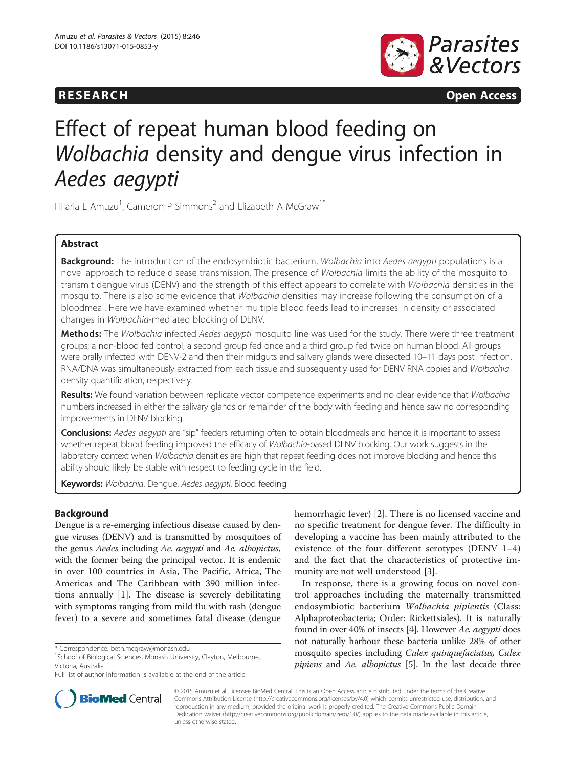# **RESEARCH RESEARCH CONSUMING ACCESS**



# Effect of repeat human blood feeding on Wolbachia density and dengue virus infection in Aedes aegypti

Hilaria E Amuzu<sup>1</sup>, Cameron P Simmons<sup>2</sup> and Elizabeth A McGraw<sup>1\*</sup>

# Abstract

Background: The introduction of the endosymbiotic bacterium, Wolbachia into Aedes aegypti populations is a novel approach to reduce disease transmission. The presence of Wolbachia limits the ability of the mosquito to transmit dengue virus (DENV) and the strength of this effect appears to correlate with Wolbachia densities in the mosquito. There is also some evidence that Wolbachia densities may increase following the consumption of a bloodmeal. Here we have examined whether multiple blood feeds lead to increases in density or associated changes in Wolbachia-mediated blocking of DENV.

Methods: The Wolbachia infected Aedes aegypti mosquito line was used for the study. There were three treatment groups; a non-blood fed control, a second group fed once and a third group fed twice on human blood. All groups were orally infected with DENV-2 and then their midguts and salivary glands were dissected 10–11 days post infection. RNA/DNA was simultaneously extracted from each tissue and subsequently used for DENV RNA copies and Wolbachia density quantification, respectively.

Results: We found variation between replicate vector competence experiments and no clear evidence that Wolbachia numbers increased in either the salivary glands or remainder of the body with feeding and hence saw no corresponding improvements in DENV blocking.

Conclusions: Aedes aegypti are "sip" feeders returning often to obtain bloodmeals and hence it is important to assess whether repeat blood feeding improved the efficacy of Wolbachia-based DENV blocking. Our work suggests in the laboratory context when Wolbachia densities are high that repeat feeding does not improve blocking and hence this ability should likely be stable with respect to feeding cycle in the field.

Keywords: Wolbachia, Dengue, Aedes aegypti, Blood feeding

# Background

Dengue is a re-emerging infectious disease caused by dengue viruses (DENV) and is transmitted by mosquitoes of the genus Aedes including Ae. aegypti and Ae. albopictus, with the former being the principal vector. It is endemic in over 100 countries in Asia, The Pacific, Africa, The Americas and The Caribbean with 390 million infections annually [[1\]](#page-7-0). The disease is severely debilitating with symptoms ranging from mild flu with rash (dengue fever) to a severe and sometimes fatal disease (dengue

hemorrhagic fever) [[2](#page-7-0)]. There is no licensed vaccine and no specific treatment for dengue fever. The difficulty in developing a vaccine has been mainly attributed to the existence of the four different serotypes (DENV 1–4) and the fact that the characteristics of protective immunity are not well understood [[3\]](#page-7-0).

In response, there is a growing focus on novel control approaches including the maternally transmitted endosymbiotic bacterium Wolbachia pipientis (Class: Alphaproteobacteria; Order: Rickettsiales). It is naturally found in over 40% of insects [\[4](#page-7-0)]. However Ae. aegypti does not naturally harbour these bacteria unlike 28% of other mosquito species including Culex quinquefaciatus, Culex pipiens and Ae. albopictus [\[5](#page-7-0)]. In the last decade three



© 2015 Amuzu et al.; licensee BioMed Central. This is an Open Access article distributed under the terms of the Creative Commons Attribution License [\(http://creativecommons.org/licenses/by/4.0\)](http://creativecommons.org/licenses/by/4.0) which permits unrestricted use, distribution, and reproduction in any medium, provided the original work is properly credited. The Creative Commons Public Domain Dedication waiver [\(http://creativecommons.org/publicdomain/zero/1.0/](http://creativecommons.org/publicdomain/zero/1.0/)) applies to the data made available in this article, unless otherwise stated.

<sup>\*</sup> Correspondence: [beth.mcgraw@monash.edu](mailto:beth.mcgraw@monash.edu) <sup>1</sup>

<sup>&</sup>lt;sup>1</sup>School of Biological Sciences, Monash University, Clayton, Melbourne, Victoria, Australia

Full list of author information is available at the end of the article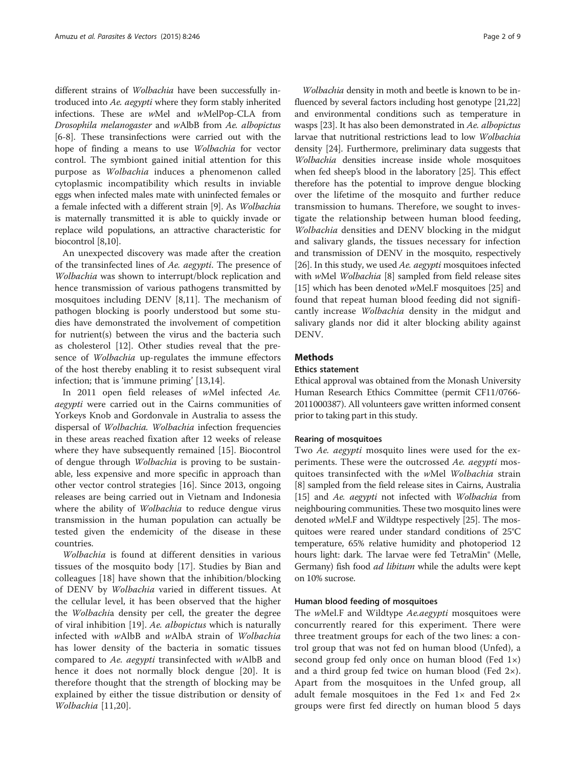different strains of Wolbachia have been successfully introduced into Ae. aegypti where they form stably inherited infections. These are wMel and wMelPop-CLA from Drosophila melanogaster and wAlbB from Ae. albopictus [[6-8\]](#page-7-0). These transinfections were carried out with the hope of finding a means to use Wolbachia for vector control. The symbiont gained initial attention for this purpose as Wolbachia induces a phenomenon called cytoplasmic incompatibility which results in inviable eggs when infected males mate with uninfected females or a female infected with a different strain [[9\]](#page-7-0). As Wolbachia is maternally transmitted it is able to quickly invade or replace wild populations, an attractive characteristic for biocontrol [\[8,10\]](#page-7-0).

An unexpected discovery was made after the creation of the transinfected lines of Ae. aegypti. The presence of Wolbachia was shown to interrupt/block replication and hence transmission of various pathogens transmitted by mosquitoes including DENV [[8,11](#page-7-0)]. The mechanism of pathogen blocking is poorly understood but some studies have demonstrated the involvement of competition for nutrient(s) between the virus and the bacteria such as cholesterol [[12\]](#page-7-0). Other studies reveal that the presence of Wolbachia up-regulates the immune effectors of the host thereby enabling it to resist subsequent viral infection; that is 'immune priming' [[13](#page-7-0),[14](#page-7-0)].

In 2011 open field releases of wMel infected Ae. aegypti were carried out in the Cairns communities of Yorkeys Knob and Gordonvale in Australia to assess the dispersal of Wolbachia. Wolbachia infection frequencies in these areas reached fixation after 12 weeks of release where they have subsequently remained [[15\]](#page-7-0). Biocontrol of dengue through Wolbachia is proving to be sustainable, less expensive and more specific in approach than other vector control strategies [[16](#page-7-0)]. Since 2013, ongoing releases are being carried out in Vietnam and Indonesia where the ability of *Wolbachia* to reduce dengue virus transmission in the human population can actually be tested given the endemicity of the disease in these countries.

Wolbachia is found at different densities in various tissues of the mosquito body [[17\]](#page-7-0). Studies by Bian and colleagues [[18\]](#page-7-0) have shown that the inhibition/blocking of DENV by Wolbachia varied in different tissues. At the cellular level, it has been observed that the higher the Wolbachia density per cell, the greater the degree of viral inhibition [\[19](#page-7-0)]. Ae. albopictus which is naturally infected with wAlbB and wAlbA strain of Wolbachia has lower density of the bacteria in somatic tissues compared to Ae. aegypti transinfected with wAlbB and hence it does not normally block dengue [[20](#page-7-0)]. It is therefore thought that the strength of blocking may be explained by either the tissue distribution or density of Wolbachia [[11,20](#page-7-0)].

Wolbachia density in moth and beetle is known to be influenced by several factors including host genotype [\[21,22](#page-7-0)] and environmental conditions such as temperature in wasps [\[23\]](#page-7-0). It has also been demonstrated in Ae. albopictus larvae that nutritional restrictions lead to low Wolbachia density [\[24\]](#page-7-0). Furthermore, preliminary data suggests that Wolbachia densities increase inside whole mosquitoes when fed sheep's blood in the laboratory [\[25](#page-7-0)]. This effect therefore has the potential to improve dengue blocking over the lifetime of the mosquito and further reduce transmission to humans. Therefore, we sought to investigate the relationship between human blood feeding, Wolbachia densities and DENV blocking in the midgut and salivary glands, the tissues necessary for infection and transmission of DENV in the mosquito, respectively [[26](#page-7-0)]. In this study, we used Ae. aegypti mosquitoes infected with wMel Wolbachia [[8](#page-7-0)] sampled from field release sites [[15](#page-7-0)] which has been denoted wMel.F mosquitoes [\[25\]](#page-7-0) and found that repeat human blood feeding did not significantly increase Wolbachia density in the midgut and salivary glands nor did it alter blocking ability against DENV.

# **Methods**

# Ethics statement

Ethical approval was obtained from the Monash University Human Research Ethics Committee (permit CF11/0766- 2011000387). All volunteers gave written informed consent prior to taking part in this study.

#### Rearing of mosquitoes

Two Ae. aegypti mosquito lines were used for the experiments. These were the outcrossed Ae. aegypti mosquitoes transinfected with the wMel Wolbachia strain [[8\]](#page-7-0) sampled from the field release sites in Cairns, Australia [[15](#page-7-0)] and Ae. aegypti not infected with Wolbachia from neighbouring communities. These two mosquito lines were denoted wMel.F and Wildtype respectively [[25](#page-7-0)]. The mosquitoes were reared under standard conditions of 25°C temperature, 65% relative humidity and photoperiod 12 hours light: dark. The larvae were fed TetraMin® (Melle, Germany) fish food ad libitum while the adults were kept on 10% sucrose.

#### Human blood feeding of mosquitoes

The *wMel.F* and Wildtype *Ae.aegypti* mosquitoes were concurrently reared for this experiment. There were three treatment groups for each of the two lines: a control group that was not fed on human blood (Unfed), a second group fed only once on human blood (Fed 1×) and a third group fed twice on human blood (Fed 2×). Apart from the mosquitoes in the Unfed group, all adult female mosquitoes in the Fed  $1\times$  and Fed  $2\times$ groups were first fed directly on human blood 5 days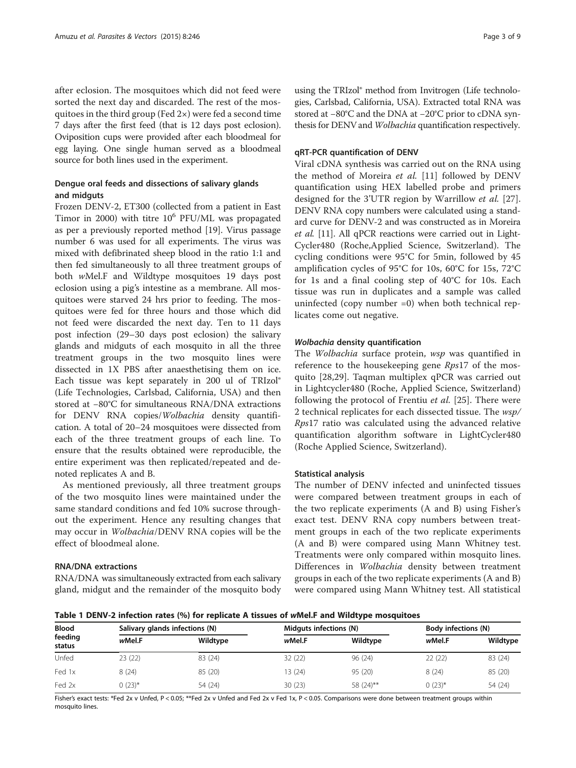<span id="page-2-0"></span>after eclosion. The mosquitoes which did not feed were sorted the next day and discarded. The rest of the mosquitoes in the third group (Fed 2×) were fed a second time 7 days after the first feed (that is 12 days post eclosion). Oviposition cups were provided after each bloodmeal for egg laying. One single human served as a bloodmeal source for both lines used in the experiment.

# Dengue oral feeds and dissections of salivary glands and midguts

Frozen DENV-2, ET300 (collected from a patient in East Timor in 2000) with titre  $10^6$  PFU/ML was propagated as per a previously reported method [\[19](#page-7-0)]. Virus passage number 6 was used for all experiments. The virus was mixed with defibrinated sheep blood in the ratio 1:1 and then fed simultaneously to all three treatment groups of both wMel.F and Wildtype mosquitoes 19 days post eclosion using a pig's intestine as a membrane. All mosquitoes were starved 24 hrs prior to feeding. The mosquitoes were fed for three hours and those which did not feed were discarded the next day. Ten to 11 days post infection (29–30 days post eclosion) the salivary glands and midguts of each mosquito in all the three treatment groups in the two mosquito lines were dissected in 1X PBS after anaesthetising them on ice. Each tissue was kept separately in 200 ul of TRIzol® (Life Technologies, Carlsbad, California, USA) and then stored at −80°C for simultaneous RNA/DNA extractions for DENV RNA copies/Wolbachia density quantification. A total of 20–24 mosquitoes were dissected from each of the three treatment groups of each line. To ensure that the results obtained were reproducible, the entire experiment was then replicated/repeated and denoted replicates A and B.

As mentioned previously, all three treatment groups of the two mosquito lines were maintained under the same standard conditions and fed 10% sucrose throughout the experiment. Hence any resulting changes that may occur in Wolbachia/DENV RNA copies will be the effect of bloodmeal alone.

# RNA/DNA extractions

RNA/DNA was simultaneously extracted from each salivary gland, midgut and the remainder of the mosquito body

using the TRIzol® method from Invitrogen (Life technologies, Carlsbad, California, USA). Extracted total RNA was stored at −80°C and the DNA at −20°C prior to cDNA synthesis for DENV and Wolbachia quantification respectively.

#### qRT-PCR quantification of DENV

Viral cDNA synthesis was carried out on the RNA using the method of Moreira et al. [\[11](#page-7-0)] followed by DENV quantification using HEX labelled probe and primers designed for the 3'UTR region by Warrillow *et al.* [\[27](#page-7-0)]. DENV RNA copy numbers were calculated using a standard curve for DENV-2 and was constructed as in Moreira et al. [\[11\]](#page-7-0). All qPCR reactions were carried out in Light-Cycler480 (Roche,Applied Science, Switzerland). The cycling conditions were 95°C for 5min, followed by 45 amplification cycles of 95°C for 10s, 60°C for 15s, 72°C for 1s and a final cooling step of 40°C for 10s. Each tissue was run in duplicates and a sample was called uninfected (copy number =0) when both technical replicates come out negative.

# Wolbachia density quantification

The Wolbachia surface protein, wsp was quantified in reference to the housekeeping gene Rps17 of the mosquito [\[28](#page-7-0),[29\]](#page-7-0). Taqman multiplex qPCR was carried out in Lightcycler480 (Roche, Applied Science, Switzerland) following the protocol of Frentiu et al. [[25\]](#page-7-0). There were 2 technical replicates for each dissected tissue. The wsp/ Rps17 ratio was calculated using the advanced relative quantification algorithm software in LightCycler480 (Roche Applied Science, Switzerland).

#### Statistical analysis

The number of DENV infected and uninfected tissues were compared between treatment groups in each of the two replicate experiments (A and B) using Fisher's exact test. DENV RNA copy numbers between treatment groups in each of the two replicate experiments (A and B) were compared using Mann Whitney test. Treatments were only compared within mosquito lines. Differences in Wolbachia density between treatment groups in each of the two replicate experiments (A and B) were compared using Mann Whitney test. All statistical

Table 1 DENV-2 infection rates (%) for replicate A tissues of wMel.F and Wildtype mosquitoes

| <b>Blood</b><br>feeding<br>status | Salivary glands infections (N) |          | Midguts infections (N) |           | <b>Body infections (N)</b> |          |
|-----------------------------------|--------------------------------|----------|------------------------|-----------|----------------------------|----------|
|                                   | wMel.F                         | Wildtype | wMel.F                 | Wildtype  | wMel.F                     | Wildtype |
| Unfed                             | 23 (22)                        | 83 (24)  | 32(22)                 | 96 (24)   | 22(22)                     | 83 (24)  |
| Fed 1x                            | 8(24)                          | 85 (20)  | 13 (24)                | 95 (20)   | 8(24)                      | 85 (20)  |
| Fed 2x                            | $0(23)$ *                      | 54 (24)  | 30(23)                 | 58 (24)** | $0(23)*$                   | 54 (24)  |

Fisher's exact tests: \*Fed 2x v Unfed, P < 0.05; \*\*Fed 2x v Unfed and Fed 2x v Fed 1x, P < 0.05. Comparisons were done between treatment groups within mosquito lines.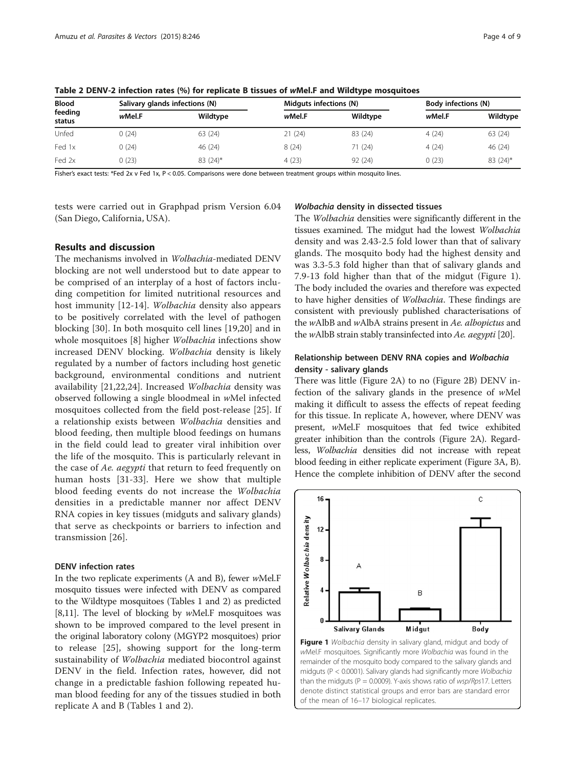| <b>Blood</b><br>feeding<br>status | Salivary glands infections (N) |            | Midguts infections (N) |          | <b>Body infections (N)</b> |          |
|-----------------------------------|--------------------------------|------------|------------------------|----------|----------------------------|----------|
|                                   | wMel.F                         | Wildtype   | wMel.F                 | Wildtype | wMel.F                     | Wildtype |
| Unfed                             | 0(24)                          | 63 (24)    | 21(24)                 | 83 (24)  | 4(24)                      | 63 (24)  |
| Fed 1x                            | 0(24)                          | 46 (24)    | 8(24)                  | 71 (24)  | 4(24)                      | 46 (24)  |
| Fed 2x                            | 0(23)                          | $83(24)$ * | 4(23)                  | 92 (24)  | 0(23)                      | 83 (24)* |

Table 2 DENV-2 infection rates (%) for replicate B tissues of wMel.F and Wildtype mosquitoes

Fisher's exact tests: \*Fed 2x v Fed 1x, P < 0.05. Comparisons were done between treatment groups within mosquito lines.

tests were carried out in Graphpad prism Version 6.04 (San Diego, California, USA).

#### Wolbachia density in dissected tissues

#### Results and discussion

The mechanisms involved in Wolbachia-mediated DENV blocking are not well understood but to date appear to be comprised of an interplay of a host of factors including competition for limited nutritional resources and host immunity [\[12](#page-7-0)-[14\]](#page-7-0). Wolbachia density also appears to be positively correlated with the level of pathogen blocking [\[30](#page-7-0)]. In both mosquito cell lines [[19,20\]](#page-7-0) and in whole mosquitoes [[8\]](#page-7-0) higher Wolbachia infections show increased DENV blocking. Wolbachia density is likely regulated by a number of factors including host genetic background, environmental conditions and nutrient availability [\[21](#page-7-0),[22,24\]](#page-7-0). Increased Wolbachia density was observed following a single bloodmeal in wMel infected mosquitoes collected from the field post-release [\[25](#page-7-0)]. If a relationship exists between Wolbachia densities and blood feeding, then multiple blood feedings on humans in the field could lead to greater viral inhibition over the life of the mosquito. This is particularly relevant in the case of Ae. aegypti that return to feed frequently on human hosts [[31](#page-7-0)-[33\]](#page-7-0). Here we show that multiple blood feeding events do not increase the Wolbachia densities in a predictable manner nor affect DENV RNA copies in key tissues (midguts and salivary glands) that serve as checkpoints or barriers to infection and transmission [\[26](#page-7-0)].

# DENV infection rates

In the two replicate experiments (A and B), fewer wMel.F mosquito tissues were infected with DENV as compared to the Wildtype mosquitoes (Tables [1](#page-2-0) and 2) as predicted [[8,11](#page-7-0)]. The level of blocking by wMel.F mosquitoes was shown to be improved compared to the level present in the original laboratory colony (MGYP2 mosquitoes) prior to release [[25\]](#page-7-0), showing support for the long-term sustainability of *Wolbachia* mediated biocontrol against DENV in the field. Infection rates, however, did not change in a predictable fashion following repeated human blood feeding for any of the tissues studied in both replicate A and B (Tables [1](#page-2-0) and 2).

The Wolbachia densities were significantly different in the tissues examined. The midgut had the lowest Wolbachia density and was 2.43-2.5 fold lower than that of salivary glands. The mosquito body had the highest density and was 3.3-5.3 fold higher than that of salivary glands and 7.9-13 fold higher than that of the midgut (Figure 1). The body included the ovaries and therefore was expected to have higher densities of Wolbachia. These findings are consistent with previously published characterisations of the wAlbB and wAlbA strains present in Ae. albopictus and the wAlbB strain stably transinfected into Ae. aegypti [[20](#page-7-0)].

# Relationship between DENV RNA copies and Wolbachia density - salivary glands

There was little (Figure [2](#page-4-0)A) to no (Figure [2B](#page-4-0)) DENV infection of the salivary glands in the presence of wMel making it difficult to assess the effects of repeat feeding for this tissue. In replicate A, however, where DENV was present, wMel.F mosquitoes that fed twice exhibited greater inhibition than the controls (Figure [2](#page-4-0)A). Regardless, Wolbachia densities did not increase with repeat blood feeding in either replicate experiment (Figure [3A](#page-4-0), B). Hence the complete inhibition of DENV after the second



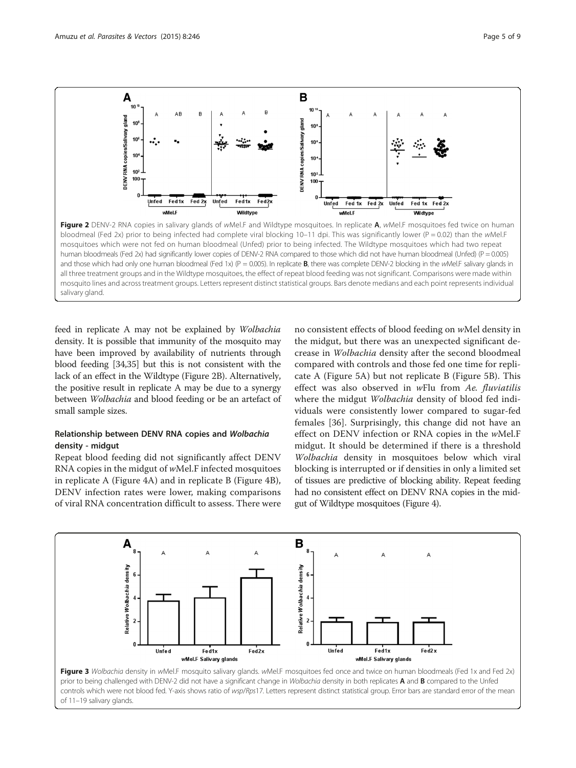<span id="page-4-0"></span>

all three treatment groups and in the Wildtype mosquitoes, the effect of repeat blood feeding was not significant. Comparisons were made within mosquito lines and across treatment groups. Letters represent distinct statistical groups. Bars denote medians and each point represents individual salivary gland.

feed in replicate A may not be explained by Wolbachia density. It is possible that immunity of the mosquito may have been improved by availability of nutrients through blood feeding [[34,35\]](#page-7-0) but this is not consistent with the lack of an effect in the Wildtype (Figure 2B). Alternatively, the positive result in replicate A may be due to a synergy between Wolbachia and blood feeding or be an artefact of small sample sizes.

# Relationship between DENV RNA copies and Wolbachia density - midgut

Repeat blood feeding did not significantly affect DENV RNA copies in the midgut of wMel.F infected mosquitoes in replicate A (Figure [4A](#page-5-0)) and in replicate B (Figure [4](#page-5-0)B), DENV infection rates were lower, making comparisons of viral RNA concentration difficult to assess. There were

no consistent effects of blood feeding on wMel density in the midgut, but there was an unexpected significant decrease in Wolbachia density after the second bloodmeal compared with controls and those fed one time for replicate A (Figure [5A](#page-5-0)) but not replicate B (Figure [5B](#page-5-0)). This effect was also observed in wFlu from Ae. fluviatilis where the midgut *Wolbachia* density of blood fed individuals were consistently lower compared to sugar-fed females [\[36](#page-7-0)]. Surprisingly, this change did not have an effect on DENV infection or RNA copies in the wMel.F midgut. It should be determined if there is a threshold Wolbachia density in mosquitoes below which viral blocking is interrupted or if densities in only a limited set of tissues are predictive of blocking ability. Repeat feeding had no consistent effect on DENV RNA copies in the midgut of Wildtype mosquitoes (Figure [4](#page-5-0)).

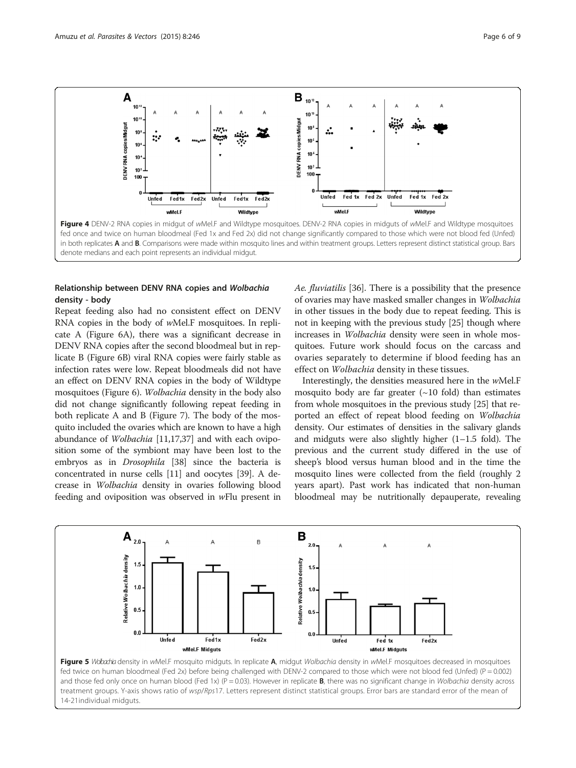<span id="page-5-0"></span>

# Relationship between DENV RNA copies and Wolbachia density - body

Repeat feeding also had no consistent effect on DENV RNA copies in the body of wMel.F mosquitoes. In replicate A (Figure [6](#page-6-0)A), there was a significant decrease in DENV RNA copies after the second bloodmeal but in replicate B (Figure [6](#page-6-0)B) viral RNA copies were fairly stable as infection rates were low. Repeat bloodmeals did not have an effect on DENV RNA copies in the body of Wildtype mosquitoes (Figure [6](#page-6-0)). Wolbachia density in the body also did not change significantly following repeat feeding in both replicate A and B (Figure [7](#page-6-0)). The body of the mosquito included the ovaries which are known to have a high abundance of Wolbachia [[11,17,37\]](#page-7-0) and with each oviposition some of the symbiont may have been lost to the embryos as in Drosophila [\[38](#page-8-0)] since the bacteria is concentrated in nurse cells [\[11\]](#page-7-0) and oocytes [[39](#page-8-0)]. A decrease in Wolbachia density in ovaries following blood feeding and oviposition was observed in wFlu present in Ae. fluviatilis [[36\]](#page-7-0). There is a possibility that the presence of ovaries may have masked smaller changes in Wolbachia in other tissues in the body due to repeat feeding. This is not in keeping with the previous study [\[25\]](#page-7-0) though where increases in Wolbachia density were seen in whole mosquitoes. Future work should focus on the carcass and ovaries separately to determine if blood feeding has an effect on Wolbachia density in these tissues.

Interestingly, the densities measured here in the wMel.F mosquito body are far greater  $(\sim 10 \text{ fold})$  than estimates from whole mosquitoes in the previous study [[25\]](#page-7-0) that reported an effect of repeat blood feeding on Wolbachia density. Our estimates of densities in the salivary glands and midguts were also slightly higher (1–1.5 fold). The previous and the current study differed in the use of sheep's blood versus human blood and in the time the mosquito lines were collected from the field (roughly 2 years apart). Past work has indicated that non-human bloodmeal may be nutritionally depauperate, revealing



Figure 5 Wolbachia density in wMel.F mosquito midguts. In replicate A, midgut Wolbachia density in wMel.F mosquitoes decreased in mosquitoes fed twice on human bloodmeal (Fed 2x) before being challenged with DENV-2 compared to those which were not blood fed (Unfed) (P = 0.002) and those fed only once on human blood (Fed 1x) (P = 0.03). However in replicate **B**, there was no significant change in Wolbachia density across treatment groups. Y-axis shows ratio of wsp/Rps17. Letters represent distinct statistical groups. Error bars are standard error of the mean of 14-21individual midguts.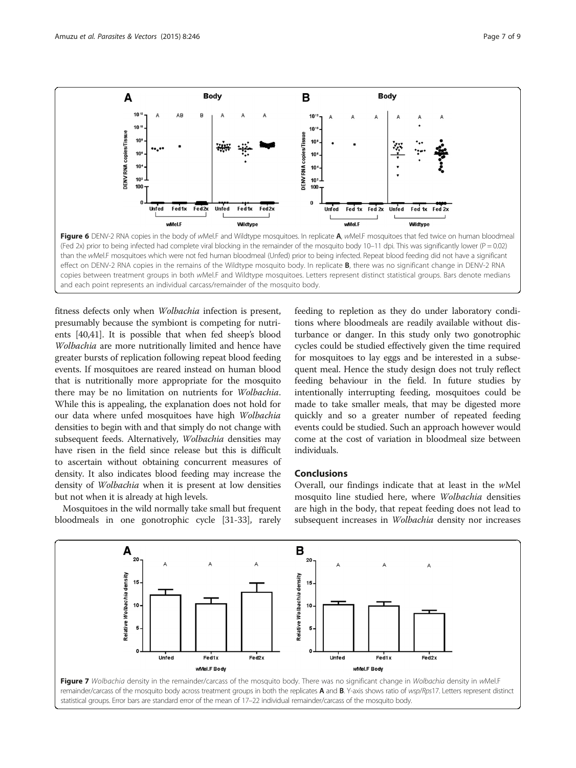<span id="page-6-0"></span>

fitness defects only when Wolbachia infection is present, presumably because the symbiont is competing for nutrients [\[40,41](#page-8-0)]. It is possible that when fed sheep's blood Wolbachia are more nutritionally limited and hence have greater bursts of replication following repeat blood feeding events. If mosquitoes are reared instead on human blood that is nutritionally more appropriate for the mosquito there may be no limitation on nutrients for Wolbachia. While this is appealing, the explanation does not hold for our data where unfed mosquitoes have high Wolbachia densities to begin with and that simply do not change with subsequent feeds. Alternatively, Wolbachia densities may have risen in the field since release but this is difficult to ascertain without obtaining concurrent measures of density. It also indicates blood feeding may increase the density of Wolbachia when it is present at low densities but not when it is already at high levels.

Mosquitoes in the wild normally take small but frequent bloodmeals in one gonotrophic cycle [[31](#page-7-0)-[33](#page-7-0)], rarely

feeding to repletion as they do under laboratory conditions where bloodmeals are readily available without disturbance or danger. In this study only two gonotrophic cycles could be studied effectively given the time required for mosquitoes to lay eggs and be interested in a subsequent meal. Hence the study design does not truly reflect feeding behaviour in the field. In future studies by intentionally interrupting feeding, mosquitoes could be made to take smaller meals, that may be digested more quickly and so a greater number of repeated feeding events could be studied. Such an approach however would come at the cost of variation in bloodmeal size between individuals.

#### Conclusions

Overall, our findings indicate that at least in the wMel mosquito line studied here, where Wolbachia densities are high in the body, that repeat feeding does not lead to subsequent increases in Wolbachia density nor increases

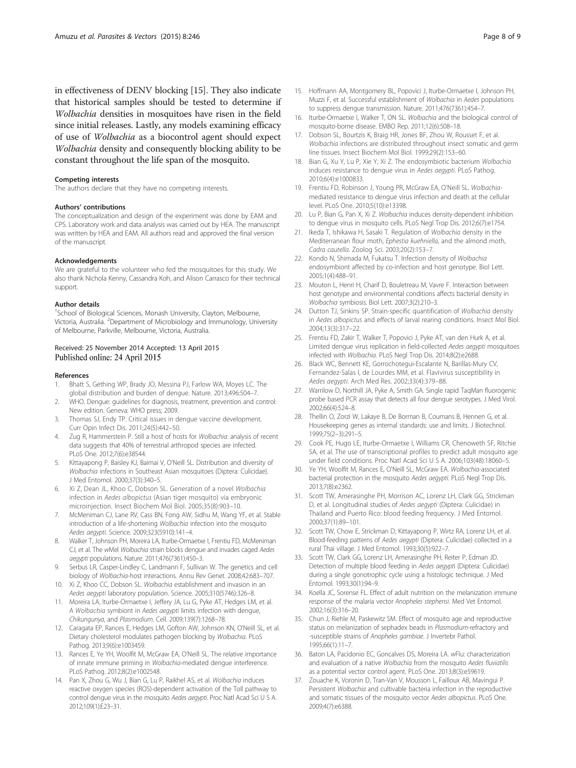<span id="page-7-0"></span>in effectiveness of DENV blocking [15]. They also indicate that historical samples should be tested to determine if Wolbachia densities in mosquitoes have risen in the field since initial releases. Lastly, any models examining efficacy of use of Wolbachia as a biocontrol agent should expect Wolbachia density and consequently blocking ability to be constant throughout the life span of the mosquito.

#### Competing interests

The authors declare that they have no competing interests.

#### Authors' contributions

The conceptualization and design of the experiment was done by EAM and CPS. Laboratory work and data analysis was carried out by HEA. The manuscript was written by HEA and EAM. All authors read and approved the final version of the manuscript.

#### Acknowledgements

We are grateful to the volunteer who fed the mosquitoes for this study. We also thank Nichola Kenny, Cassandra Koh, and Alison Carrasco for their technical support.

#### Author details

<sup>1</sup>School of Biological Sciences, Monash University, Clayton, Melbourne, Victoria, Australia. <sup>2</sup>Department of Microbiology and Immunology, University of Melbourne, Parkville, Melbourne, Victoria, Australia.

#### Received: 25 November 2014 Accepted: 13 April 2015 Published online: 24 April 2015

#### References

- 1. Bhatt S, Gething WP, Brady JO, Messina PJ, Farlow WA, Moyes LC. The global distribution and burden of dengue. Nature. 2013;496:504–7.
- 2. WHO. Dengue: guidelines for diagnosis, treatment, prevention and control: New edition. Geneva: WHO press; 2009.
- 3. Thomas SJ, Endy TP. Critical issues in dengue vaccine development. Curr Opin Infect Dis. 2011;24(5):442–50.
- 4. Zug R, Hammerstein P. Still a host of hosts for Wolbachia: analysis of recent data suggests that 40% of terrestrial arthropod species are infected. PLoS One. 2012;7(6):e38544.
- 5. Kittayapong P, Baisley KJ, Baimai V, O'Neill SL. Distribution and diversity of Wolbachia infections in Southeast Asian mosquitoes (Diptera: Culicidae). J Med Entomol. 2000;37(3):340–5.
- Xi Z, Dean JL, Khoo C, Dobson SL. Generation of a novel Wolbachia infection in Aedes albopictus (Asian tiger mosquito) via embryonic microinjection. Insect Biochem Mol Biol. 2005;35(8):903–10.
- 7. McMeniman CJ, Lane RV, Cass BN, Fong AW, Sidhu M, Wang YF, et al. Stable introduction of a life-shortening Wolbachia infection into the mosquito Aedes aegypti. Science. 2009;323(5910):141–4.
- 8. Walker T, Johnson PH, Moreira LA, Iturbe-Ormaetxe I, Frentiu FD, McMeniman CJ, et al. The wMel Wolbachia strain blocks dengue and invades caged Aedes aegypti populations. Nature. 2011;476(7361):450–3.
- Serbus LR, Casper-Lindley C, Landmann F, Sullivan W. The genetics and cell biology of Wolbachia-host interactions. Annu Rev Genet. 2008;42:683–707.
- 10. Xi Z, Khoo CC, Dobson SL. Wolbachia establishment and invasion in an Aedes aegypti laboratory population. Science. 2005;310(5746):326–8.
- 11. Moreira LA, Iturbe-Ormaetxe I, Jeffery JA, Lu G, Pyke AT, Hedges LM, et al. A Wolbachia symbiont in Aedes aegypti limits infection with dengue, Chikungunya, and Plasmodium. Cell. 2009;139(7):1268–78.
- 12. Caragata EP, Rances E, Hedges LM, Gofton AW, Johnson KN, O'Neill SL, et al. Dietary cholesterol modulates pathogen blocking by Wolbachia. PLoS Pathog. 2013;9(6):e1003459.
- 13. Rances E, Ye YH, Woolfit M, McGraw EA, O'Neill SL. The relative importance of innate immune priming in Wolbachia-mediated dengue interference. PLoS Pathog. 2012;8(2):e1002548.
- 14. Pan X, Zhou G, Wu J, Bian G, Lu P, Raikhel AS, et al. Wolbachia induces reactive oxygen species (ROS)-dependent activation of the Toll pathway to control dengue virus in the mosquito Aedes aegypti. Proc Natl Acad Sci U S A. 2012;109(1):E23–31.
- 15. Hoffmann AA, Montgomery BL, Popovici J, Iturbe-Ormaetxe I, Johnson PH, Muzzi F, et al. Successful establishment of Wolbachia in Aedes populations to suppress dengue transmission. Nature. 2011;476(7361):454–7.
- 16. Iturbe-Ormaetxe I, Walker T, ON SL. Wolbachia and the biological control of mosquito-borne disease. EMBO Rep. 2011;12(6):508–18.
- 17. Dobson SL, Bourtzis K, Braig HR, Jones BF, Zhou W, Rousset F, et al. Wolbachia infections are distributed throughout insect somatic and germ line tissues. Insect Biochem Mol Biol. 1999;29(2):153–60.
- 18. Bian G, Xu Y, Lu P, Xie Y, Xi Z. The endosymbiotic bacterium Wolbachia induces resistance to dengue virus in Aedes aegypti. PLoS Pathog. 2010;6(4):e1000833.
- 19. Frentiu FD, Robinson J, Young PR, McGraw EA, O'Neill SL. Wolbachiamediated resistance to dengue virus infection and death at the cellular level. PLoS One. 2010;5(10):e13398.
- 20. Lu P, Bian G, Pan X, Xi Z. Wolbachia induces density-dependent inhibition to dengue virus in mosquito cells. PLoS Negl Trop Dis. 2012;6(7):e1754.
- 21. Ikeda T, Ishikawa H, Sasaki T. Regulation of Wolbachia density in the Mediterranean flour moth, Ephestia kuehniella, and the almond moth, Cadra cautella. Zoolog Sci. 2003;20(2):153–7.
- 22. Kondo N, Shimada M, Fukatsu T. Infection density of Wolbachia endosymbiont affected by co-infection and host genotype. Biol Lett. 2005;1(4):488–91.
- 23. Mouton L, Henri H, Charif D, Bouletreau M, Vavre F. Interaction between host genotype and environmental conditions affects bacterial density in Wolbachia symbiosis. Biol Lett. 2007;3(2):210–3.
- 24. Dutton TJ, Sinkins SP. Strain-specific quantification of Wolbachia density in Aedes albopictus and effects of larval rearing conditions. Insect Mol Biol. 2004;13(3):317–22.
- 25. Frentiu FD, Zakir T, Walker T, Popovici J, Pyke AT, van den Hurk A, et al. Limited dengue virus replication in field-collected Aedes aegypti mosquitoes infected with Wolbachia. PLoS Negl Trop Dis. 2014;8(2):e2688.
- 26. Black WC, Bennett KE, Gorrochotegui-Escalante N, Barillas-Mury CV, Fernandez-Salas I, de Lourdes MM, et al. Flavivirus susceptibility in Aedes aegypti. Arch Med Res. 2002;33(4):379–88.
- 27. Warrilow D, Northill JA, Pyke A, Smith GA. Single rapid TaqMan fluorogenic probe based PCR assay that detects all four dengue serotypes. J Med Virol. 2002;66(4):524–8.
- 28. Thellin O, Zorzi W, Lakaye B, De Borman B, Coumans B, Hennen G, et al. Housekeeping genes as internal standards: use and limits. J Biotechnol. 1999;75(2–3):291–5.
- 29. Cook PE, Hugo LE, Iturbe-Ormaetxe I, Williams CR, Chenoweth SF, Ritchie SA, et al. The use of transcriptional profiles to predict adult mosquito age under field conditions. Proc Natl Acad Sci U S A. 2006;103(48):18060–5.
- 30. Ye YH, Woolfit M, Rances E, O'Neill SL, McGraw EA. Wolbachia-associated bacterial protection in the mosquito Aedes aegypti. PLoS Negl Trop Dis. 2013;7(8):e2362.
- 31. Scott TW, Amerasinghe PH, Morrison AC, Lorenz LH, Clark GG, Strickman D, et al. Longitudinal studies of Aedes aegypti (Diptera: Culicidae) in Thailand and Puerto Rico: blood feeding frequency. J Med Entomol. 2000;37(1):89–101.
- 32. Scott TW, Chow E, Strickman D, Kittayapong P, Wirtz RA, Lorenz LH, et al. Blood-feeding patterns of Aedes aegypti (Diptera: Culicidae) collected in a rural Thai village. J Med Entomol. 1993;30(5):922–7.
- 33. Scott TW, Clark GG, Lorenz LH, Amerasinghe PH, Reiter P, Edman JD. Detection of multiple blood feeding in Aedes aegypti (Diptera: Culicidae) during a single gonotrophic cycle using a histologic technique. J Med Entomol. 1993;30(1):94–9.
- 34. Koella JC, Sorense FL. Effect of adult nutrition on the melanization immune response of the malaria vector Anopheles stephensi. Med Vet Entomol. 2002;16(3):316–20.
- 35. Chun J, Riehle M, Paskewitz SM. Effect of mosquito age and reproductive status on melanization of sephadex beads in Plasmodium-refractory and -susceptible strains of Anopheles gambiae. J Invertebr Pathol. 1995;66(1):11–7.
- 36. Baton LA, Pacidonio EC, Goncalves DS, Moreira LA. wFlu: characterization and evaluation of a native Wolbachia from the mosquito Aedes fluviatilis as a potential vector control agent. PLoS One. 2013;8(3):e59619.
- 37. Zouache K, Voronin D, Tran-Van V, Mousson L, Failloux AB, Mavingui P. Persistent Wolbachia and cultivable bacteria infection in the reproductive and somatic tissues of the mosquito vector Aedes albopictus. PLoS One. 2009;4(7):e6388.